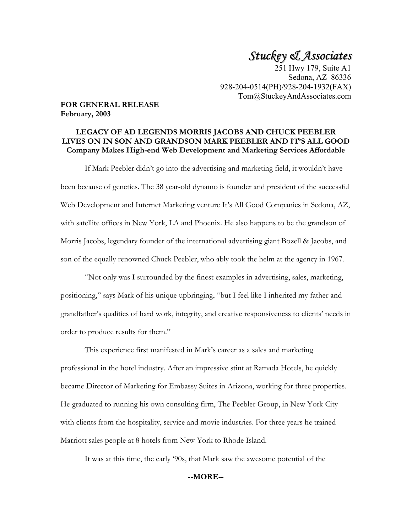# *Stuckey & Associates*

251 Hwy 179, Suite A1 Sedona, AZ 86336 928-204-0514(PH)/928-204-1932(FAX) Tom@StuckeyAndAssociates.com

#### **FOR GENERAL RELEASE February, 2003**

# **LEGACY OF AD LEGENDS MORRIS JACOBS AND CHUCK PEEBLER LIVES ON IN SON AND GRANDSON MARK PEEBLER AND IT'S ALL GOOD Company Makes High-end Web Development and Marketing Services Affordable**

 If Mark Peebler didn't go into the advertising and marketing field, it wouldn't have been because of genetics. The 38 year-old dynamo is founder and president of the successful Web Development and Internet Marketing venture It's All Good Companies in Sedona, AZ, with satellite offices in New York, LA and Phoenix. He also happens to be the grandson of Morris Jacobs, legendary founder of the international advertising giant Bozell & Jacobs, and son of the equally renowned Chuck Peebler, who ably took the helm at the agency in 1967.

 "Not only was I surrounded by the finest examples in advertising, sales, marketing, positioning," says Mark of his unique upbringing, "but I feel like I inherited my father and grandfather's qualities of hard work, integrity, and creative responsiveness to clients' needs in order to produce results for them."

 This experience first manifested in Mark's career as a sales and marketing professional in the hotel industry. After an impressive stint at Ramada Hotels, he quickly became Director of Marketing for Embassy Suites in Arizona, working for three properties. He graduated to running his own consulting firm, The Peebler Group, in New York City with clients from the hospitality, service and movie industries. For three years he trained Marriott sales people at 8 hotels from New York to Rhode Island.

It was at this time, the early '90s, that Mark saw the awesome potential of the

### **--MORE--**